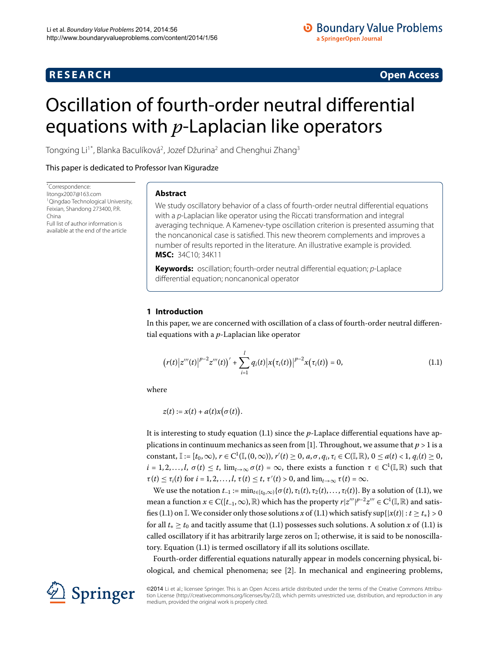## **R E S E A R C H Open Access**

<span id="page-0-1"></span>

# <span id="page-0-0"></span>Oscillation of fourth-order neutral differential equations with *p*-Laplacian like operators

Tongxing Li $^{\rm 1*}$  $^{\rm 1*}$  $^{\rm 1*}$ , Blanka Baculíková $^{\rm 2}$ , Jozef Džurina $^{\rm 2}$  and Chenghui Zhang $^{\rm 3}$ 

This paper is dedicated to Professor Ivan Kiguradze

\* Correspondence: [litongx2007@163.com](mailto:litongx2007@163.com) 1Qingdao Technological University, Feixian, Shandong 273400, P.R. China Full list of author information is available at the end of the article

## **Abstract**

We study oscillatory behavior of a class of fourth-order neutral differential equations with a p-Laplacian like operator using the Riccati transformation and integral averaging technique. A Kamenev-type oscillation criterion is presented assuming that the noncanonical case is satisfied. This new theorem complements and improves a number of results reported in the literature. An illustrative example is provided. **MSC:** 34C10; 34K11

**Keywords:** oscillation; fourth-order neutral differential equation; p-Laplace differential equation; noncanonical operator

## **1 Introduction**

In this paper, we are concerned with oscillation of a class of fourth-order neutral differential equations with a *p*-Laplacian like operator

$$
(r(t)|z'''(t)|^{p-2}z'''(t))' + \sum_{i=1}^{l} q_i(t)|x(\tau_i(t))|^{p-2}x(\tau_i(t)) = 0,
$$
\n(1.1)

where

 $z(t) := x(t) + a(t)x(\sigma(t)).$ 

It is interesting to study equation (1.1) since the *p*-Laplace differential equations have applications in continuum mechanics as seen from [1]. Throughout, we assume that  $p > 1$  is a constant,  $\mathbb{I} := [t_0, \infty), r \in C^1(\mathbb{I}, (0, \infty)), r'(t) \ge 0, a, \sigma, q_i, \tau_i \in C(\mathbb{I}, \mathbb{R}), 0 \le a(t) < 1, q_i(t) \ge 0,$  $i = 1, 2, \ldots, l$ ,  $\sigma(t) \leq t$ ,  $\lim_{t \to \infty} \sigma(t) = \infty$ , there exists a function  $\tau \in C^1(\mathbb{I}, \mathbb{R})$  such that  $\tau(t) \leq \tau_i(t)$  for  $i = 1, 2, ..., l$ ,  $\tau(t) \leq t$ ,  $\tau'(t) > 0$ , and  $\lim_{t \to \infty} \tau(t) = \infty$ .

We use the notation  $t_{-1} := \min_{t \in [t_0,\infty)} {\{\sigma(t), \tau_1(t), \tau_2(t), \ldots, \tau_l(t)\}}$ [.](#page-0-1) By a solution of (1.1), we mean a function  $x \in C([t_{-1}, \infty), \mathbb{R})$  which has the property  $r | z''' |^{p-2} z''' \in C^1(\mathbb{I}, \mathbb{R})$  and satis-fies (1[.](#page-0-1)1) on I. We consider only those solutions *x* of (1.1) which satisfy sup{ $|x(t)| : t \ge t_*$ } > 0 for all  $t_* \geq t_0$  and tacitly assume that (1[.](#page-0-1)1) possesses such solutions. A solution *x* of (1.1) is called oscillatory if it has arbitrarily large zeros on I; otherwise, it is said to be nonoscilla-tory[.](#page-0-1) Equation (1.1) is termed oscillatory if all its solutions oscillate.

Fourth-order differential equations naturally appear in models concerning physical, biological, and chemical phenomena; see [\[](#page-8-1)]. In mechanical and engineering problems,

©2014 Li et al.; licensee Springer. This is an Open Access article distributed under the terms of the Creative Commons Attribution License ([http://creativecommons.org/licenses/by/2.0\)](http://creativecommons.org/licenses/by/2.0), which permits unrestricted use, distribution, and reproduction in any medium, provided the original work is properly cited.

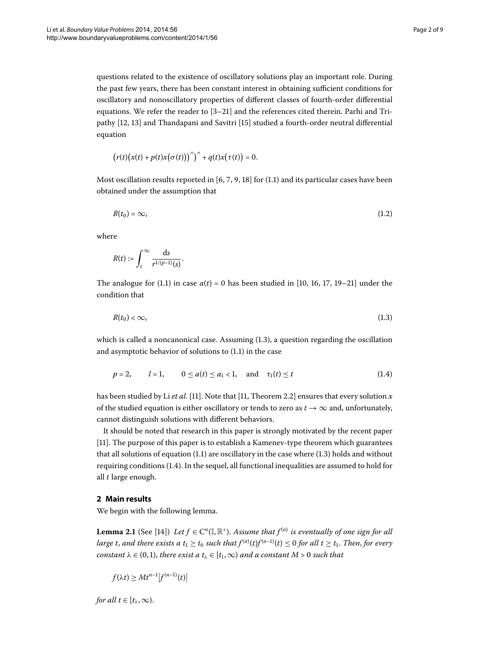questions related to the existence of oscillatory solutions play an important role. During the past few years, there has been constant interest in obtaining sufficient conditions for oscillatory and nonoscillatory properties of different classes of fourth-order differential equations. We refer the reader to  $[3-21]$  and the references cited therein. Parhi and Tri-pathy [12[,](#page-8-4) 13[\]](#page-8-5) and Thandapani and Savitri [\[](#page-8-6)15] studied a fourth-order neutral differential equation

<span id="page-1-3"></span>
$$
(r(t)(x(t)+p(t)x(\sigma(t))))' + q(t)x(\tau(t)) = 0.
$$

Most oscillation results reported in  $[6, 7, 9, 18]$  $[6, 7, 9, 18]$  $[6, 7, 9, 18]$  for (1[.](#page-0-1)1) and its particular cases have been obtained under the assumption that

$$
R(t_0) = \infty, \tag{1.2}
$$

where

<span id="page-1-0"></span>
$$
R(t):=\int_t^\infty\frac{\mathrm{d} s}{r^{1/(p-1)}(s)}.
$$

The analogue for (1.1) in case  $a(t) = 0$  has been studied in [10[,](#page-8-11) 16, 17, 19[–](#page-8-14)21[\]](#page-8-3) under the condition that

<span id="page-1-1"></span>
$$
R(t_0) < \infty,\tag{1.3}
$$

which is called a noncanonical case[.](#page-1-0) Assuming  $(1.3)$ , a question regarding the oscillation and asymptotic behavior of solutions to  $(1.1)$  in the case

$$
p = 2,
$$
  $l = 1,$   $0 \le a(t) \le a_1 < 1,$  and  $\tau_1(t) \le t$  (1.4)

has been studied by Li *et al.* [11]. Note that [11, Theorem 2.2] ensures that every solution *x* of the studied equation is either oscillatory or tends to zero as  $t \to \infty$  and, unfortunately, cannot distinguish solutions with different behaviors.

<span id="page-1-2"></span>It should be noted that research in this paper is strongly motivated by the recent paper [11[\]](#page-8-15). The purpose of this paper is to establish a Kamenev-type theorem which guarantees that all solutions of equation  $(1.1)$  $(1.1)$  $(1.1)$  are oscillatory in the case where  $(1.3)$  holds and without requiring conditions (1.4). In the sequel, all functional inequalities are assumed to hold for all *t* large enough.

## **2 Main results**

We begin with the following lemma.

**Lemma 2.1** (See [\[](#page-8-16)14]) Let  $f \in C^n(\mathbb{I}, \mathbb{R}^+)$ . Assume that  $f^{(n)}$  is eventually of one sign for all *large t, and there exists a t*<sub>1</sub>  $\geq$  *t*<sub>0</sub> *such that*  $f^{(n)}(t)f^{(n-1)}(t) \leq 0$  for all  $t \geq t_1$ . Then, for every *constant*  $\lambda \in (0,1)$ *, there exist a*  $t_{\lambda} \in [t_1,\infty)$  *and a constant*  $M > 0$  *such that* 

$$
f(\lambda t) \geq Mt^{n-1}|f^{(n-1)}(t)|
$$

*for all*  $t \in [t_\lambda, \infty)$ .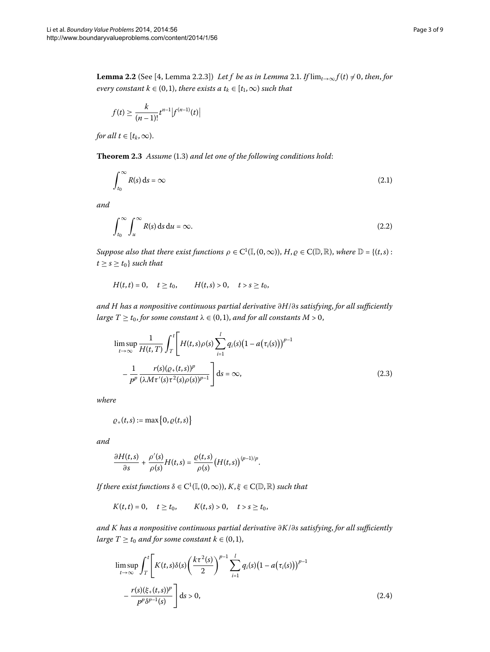<span id="page-2-5"></span><span id="page-2-3"></span>**Lemma 2[.](#page-1-2)2** (See [4, Lemma 2.2.3]) *Let f be as in Lemma 2.1. If*  $\lim_{t\to\infty} f(t) \neq 0$ , then, for *every constant*  $k \in (0, 1)$ *, there exists a*  $t_k \in [t_1, \infty)$  *such that* 

<span id="page-2-0"></span>
$$
f(t) \ge \frac{k}{(n-1)!} t^{n-1} |f^{(n-1)}(t)|
$$

*for all*  $t \in [t_k, \infty)$ .

**Theorem 2.3** Assume (1.3) and let one of the following conditions hold:

<span id="page-2-1"></span>
$$
\int_{t_0}^{\infty} R(s) \, \mathrm{d}s = \infty \tag{2.1}
$$

*and*

$$
\int_{t_0}^{\infty} \int_u^{\infty} R(s) \, \mathrm{d}s \, \mathrm{d}u = \infty. \tag{2.2}
$$

*Suppose also that there exist functions*  $\rho \in C^1(\mathbb{I}, (0, \infty)), H, \varrho \in C(\mathbb{D}, \mathbb{R})$ , where  $\mathbb{D} = \{(t, s) :$  $t \geq s \geq t_0$ } *such that* 

<span id="page-2-2"></span>
$$
H(t,t) = 0
$$
,  $t \ge t_0$ ,  $H(t,s) > 0$ ,  $t > s \ge t_0$ ,

*and H has a nonpositive continuous partial derivative ∂H*/*∂s satisfying*, *for all sufficiently large*  $T \ge t_0$ , *for some constant*  $\lambda \in (0,1)$ , *and for all constants*  $M > 0$ ,

$$
\limsup_{t \to \infty} \frac{1}{H(t, T)} \int_{T}^{t} \left[ H(t, s) \rho(s) \sum_{i=1}^{l} q_{i}(s) (1 - a(\tau_{i}(s)))^{p-1} - \frac{1}{p^{p}} \frac{r(s) (\rho_{+}(t, s))^{p}}{(\lambda M \tau'(s) \tau^{2}(s) \rho(s))^{p-1}} \right] ds = \infty,
$$
\n(2.3)

*where*

$$
Q_{+}(t,s):=\max\big\{0,\varrho(t,s)\big\}
$$

*and*

$$
\frac{\partial H(t,s)}{\partial s} + \frac{\rho'(s)}{\rho(s)}H(t,s) = \frac{\varrho(t,s)}{\rho(s)}\big(H(t,s)\big)^{(p-1)/p}.
$$

*If there exist functions*  $\delta \in C^1(\mathbb{I}, (0, \infty)), K, \xi \in C(\mathbb{D}, \mathbb{R})$  *such that* 

<span id="page-2-4"></span>
$$
K(t,t) = 0
$$
,  $t \ge t_0$ ,  $K(t,s) > 0$ ,  $t > s \ge t_0$ ,

*and K has a nonpositive continuous partial derivative ∂K*/*∂s satisfying*, *for all sufficiently large*  $T \ge t_0$  *and for some constant*  $k \in (0,1)$ ,

$$
\limsup_{t \to \infty} \int_{T}^{t} \left[ K(t,s) \delta(s) \left( \frac{k \tau^{2}(s)}{2} \right)^{p-1} \sum_{i=1}^{l} q_{i}(s) \left( 1 - a(\tau_{i}(s)) \right)^{p-1} - \frac{r(s) (\xi_{+}(t,s))^{p}}{p^{p} \delta^{p-1}(s)} \right] ds > 0,
$$
\n(2.4)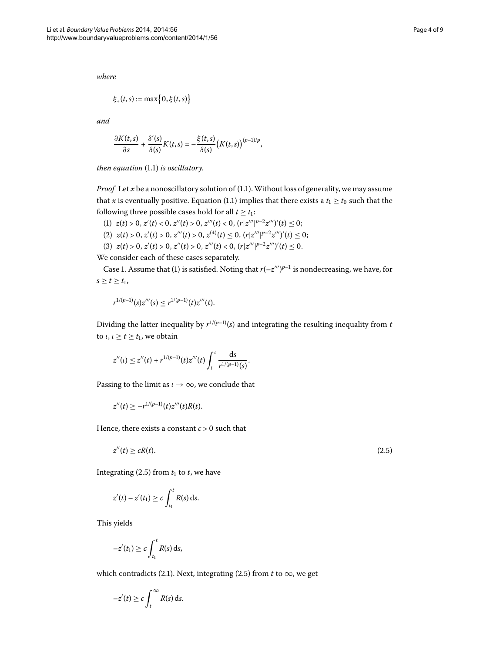*where*

$$
\xi_{+}(t,s) := \max\{0,\xi(t,s)\}\
$$

*and*

$$
\frac{\partial K(t,s)}{\partial s}+\frac{\delta'(s)}{\delta(s)}K(t,s)=-\frac{\xi(t,s)}{\delta(s)}\big(K(t,s)\big)^{(p-1)/p},
$$

*then equation* (1.1) *is oscillatory*.

*Proof* Let  $x$  be a nonoscillatory solution of  $(1.1)$  $(1.1)$  $(1.1)$ . Without loss of generality, we may assume that *x* is eventually positive[.](#page-0-1) Equation (1.1) implies that there exists a  $t_1 \geq t_0$  such that the following three possible cases hold for all  $t \geq t_1$ :

(1)  $z(t) > 0, z'(t) < 0, z''(t) > 0, z'''(t) < 0, (r|z'''|^{p-2}z''')'(t) \leq 0;$ (2)  $z(t) > 0, z'(t) > 0, z'''(t) > 0, z^{(4)}(t) \le 0, (r|z'''|^{p-2}z''')'(t) \le 0;$ 

(3)  $z(t) > 0, z'(t) > 0, z''(t) > 0, z'''(t) < 0, (r|z'''|^{p-2}z''')'(t) \leq 0.$ 

We consider each of these cases separately.

Case 1. Assume that (1) is satisfied. Noting that  $r(-z''')^{p-1}$  is nondecreasing, we have, for  $s \ge t \ge t_1$ ,

$$
r^{1/(p-1)}(s)z'''(s) \leq r^{1/(p-1)}(t)z'''(t).
$$

Dividing the latter inequality by  $r^{1/(p-1)}(s)$  and integrating the resulting inequality from *t* to  $\iota, \iota \geq t \geq t_1$ , we obtain

<span id="page-3-0"></span>
$$
z''(t) \le z''(t) + r^{1/(p-1)}(t)z'''(t)\int_t^t \frac{ds}{r^{1/(p-1)}(s)}.
$$

Passing to the limit as  $\iota \to \infty$ , we conclude that

$$
z''(t) \geq -r^{1/(p-1)}(t)z'''(t)R(t).
$$

Hence, there exists a constant  $c > 0$  such that

$$
z''(t) \ge cR(t). \tag{2.5}
$$

Integrating  $(2.5)$  from  $t_1$  to  $t$ , we have

$$
z'(t)-z'(t_1)\geq c\int_{t_1}^t R(s)\,\mathrm{d}s.
$$

This yields

$$
-z'(t_1) \ge c \int_{t_1}^t R(s) \, \mathrm{d} s,
$$

which contradicts (2[.](#page-2-0)1). Next, integrating (2.5) from *t* to  $\infty$ , we get

$$
-z'(t) \ge c \int_t^\infty R(s) \, \mathrm{d} s.
$$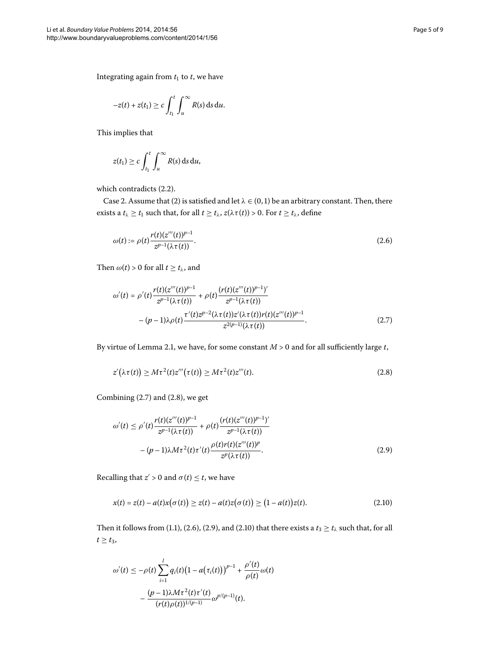Integrating again from  $t_1$  to  $t$ , we have

$$
-z(t) + z(t_1) \ge c \int_{t_1}^t \int_u^\infty R(s) \, \mathrm{d} s \, \mathrm{d} u.
$$

This implies that

<span id="page-4-2"></span>
$$
z(t_1) \geq c \int_{t_1}^t \int_u^{\infty} R(s) \, \mathrm{d} s \, \mathrm{d} u,
$$

which contradicts  $(2.2)$ .

<span id="page-4-0"></span>Case 2. Assume that (2) is satisfied and let  $\lambda \in (0,1)$  be an arbitrary constant. Then, there exists a *t*<sub> $\lambda \ge t_1$  such that, for all  $t \ge t_\lambda$ ,  $z(\lambda \tau(t)) > 0$ . For  $t \ge t_\lambda$ , define</sub>

$$
\omega(t) := \rho(t) \frac{r(t)(z'''(t))^{p-1}}{z^{p-1}(\lambda \tau(t))}.
$$
\n(2.6)

Then  $\omega(t) > 0$  for all  $t \ge t_\lambda$ , and

<span id="page-4-1"></span>
$$
\omega'(t) = \rho'(t) \frac{r(t)(z'''(t))^{p-1}}{z^{p-1}(\lambda \tau(t))} + \rho(t) \frac{(r(t)(z'''(t))^{p-1})'}{z^{p-1}(\lambda \tau(t))} - (p-1)\lambda \rho(t) \frac{\tau'(t)z^{p-2}(\lambda \tau(t))z'(\lambda \tau(t))r(t)(z'''(t))^{p-1}}{z^{2(p-1)}(\lambda \tau(t))}.
$$
\n(2.7)

<span id="page-4-3"></span>By virtue of Lemma 2[.](#page-1-2)1, we have, for some constant  $M > 0$  and for all sufficiently large  $t$ ,

$$
z'(\lambda \tau(t)) \geq M \tau^2(t) z'''(\tau(t)) \geq M \tau^2(t) z'''(t).
$$
\n(2.8)

Combining  $(2.7)$  and  $(2.8)$ , we get

<span id="page-4-4"></span>
$$
\omega'(t) \le \rho'(t) \frac{r(t)(z'''(t))^{p-1}}{z^{p-1}(\lambda \tau(t))} + \rho(t) \frac{(r(t)(z'''(t))^{p-1})'}{z^{p-1}(\lambda \tau(t))} - (p-1)\lambda M \tau^{2}(t) \tau'(t) \frac{\rho(t)r(t)(z'''(t))^{p}}{z^{p}(\lambda \tau(t))}.
$$
\n(2.9)

Recalling that  $z' > 0$  and  $\sigma(t) \leq t$ , we have

$$
x(t) = z(t) - a(t)x(\sigma(t)) \ge z(t) - a(t)z(\sigma(t)) \ge (1 - a(t))z(t).
$$
 (2.10)

Then it follows from (1[.](#page-4-4)1), (2.6), (2.9), and (2.10) that there exists a  $t_3 \ge t_\lambda$  such that, for all  $t \geq t_3$ ,

$$
\omega'(t) \leq -\rho(t) \sum_{i=1}^{l} q_i(t) \big(1 - a(\tau_i(t))\big)^{p-1} + \frac{\rho'(t)}{\rho(t)} \omega(t) - \frac{(p-1)\lambda M \tau^2(t) \tau'(t)}{(r(t)\rho(t))^{1/(p-1)}} \omega^{p/(p-1)}(t).
$$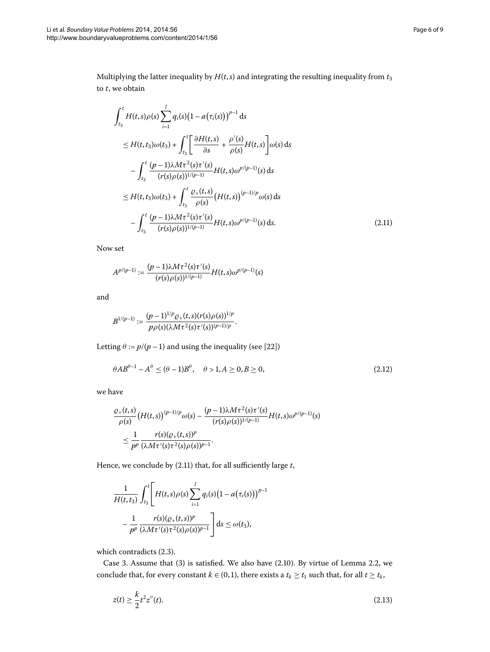<span id="page-5-0"></span>

Multiplying the latter inequality by  $H(t, s)$  and integrating the resulting inequality from  $t_3$ to *t*, we obtain

$$
\int_{t_3}^{t} H(t,s)\rho(s) \sum_{i=1}^{l} q_i(s) (1 - a(\tau_i(s)))^{p-1} ds
$$
\n
$$
\leq H(t,t_3)\omega(t_3) + \int_{t_3}^{t} \left[ \frac{\partial H(t,s)}{\partial s} + \frac{\rho'(s)}{\rho(s)} H(t,s) \right] \omega(s) ds
$$
\n
$$
- \int_{t_3}^{t} \frac{(p-1)\lambda M \tau^2(s) \tau'(s)}{(r(s)\rho(s))^{1/(p-1)}} H(t,s) \omega^{p/(p-1)}(s) ds
$$
\n
$$
\leq H(t,t_3)\omega(t_3) + \int_{t_3}^{t} \frac{\rho_+(t,s)}{\rho(s)} (H(t,s))^{(p-1)/p} \omega(s) ds
$$
\n
$$
- \int_{t_3}^{t} \frac{(p-1)\lambda M \tau^2(s) \tau'(s)}{(r(s)\rho(s))^{1/(p-1)}} H(t,s) \omega^{p/(p-1)}(s) ds. \tag{2.11}
$$

Now set

$$
A^{p/(p-1)} := \frac{(p-1)\lambda M\tau^2(s)\tau'(s)}{(r(s)\rho(s))^{1/(p-1)}}H(t,s)\omega^{p/(p-1)}(s)
$$

and

<span id="page-5-2"></span>
$$
B^{1/(p-1)}:=\frac{(p-1)^{1/p}\varrho_+(t,s)(r(s)\rho(s))^{1/p}}{p\rho(s)(\lambda M\tau^2(s)\tau'(s))^{(p-1)/p}}.
$$

Letting  $\theta := p/(p-1)$  and using the inequality (see [\[](#page-8-18)22])

$$
\theta AB^{\theta-1} - A^{\theta} \le (\theta - 1)B^{\theta}, \quad \theta > 1, A \ge 0, B \ge 0,
$$
\n
$$
(2.12)
$$

we have

$$
\frac{\varrho_+(t,s)}{\rho(s)}\big(H(t,s)\big)^{(p-1)/p}\omega(s)-\frac{(p-1)\lambda M\tau^2(s)\tau'(s)}{(r(s)\rho(s))^{1/(p-1)}}H(t,s)\omega^{p/(p-1)}(s)\n
$$
\leq \frac{1}{p^p}\frac{r(s)(\varrho_+(t,s))^p}{(\lambda M\tau'(s)\tau^2(s)\rho(s))^{p-1}}.
$$
$$

Hence, we conclude by (2.11) that, for all sufficiently large *t*,

<span id="page-5-1"></span>
$$
\frac{1}{H(t,t_3)} \int_{t_3}^t \left[ H(t,s)\rho(s) \sum_{i=1}^l q_i(s) \left(1 - a(\tau_i(s))\right)^{p-1} - \frac{1}{p^p} \frac{r(s)(\rho_+(t,s))^p}{(\lambda M \tau'(s) \tau^2(s) \rho(s))^{p-1}} \right] ds \leq \omega(t_3),
$$

which contradicts  $(2.3)$ .

Case 3. Assume that  $(3)$  is satisfied. We also have  $(2.10)$ . By virtue of Lemma 2.2, we conclude that, for every constant *k* ∈ (0, 1), there exists a  $t_k \ge t_1$  such that, for all  $t \ge t_k$ ,

$$
z(t) \ge \frac{k}{2} t^2 z''(t).
$$
 (2.13)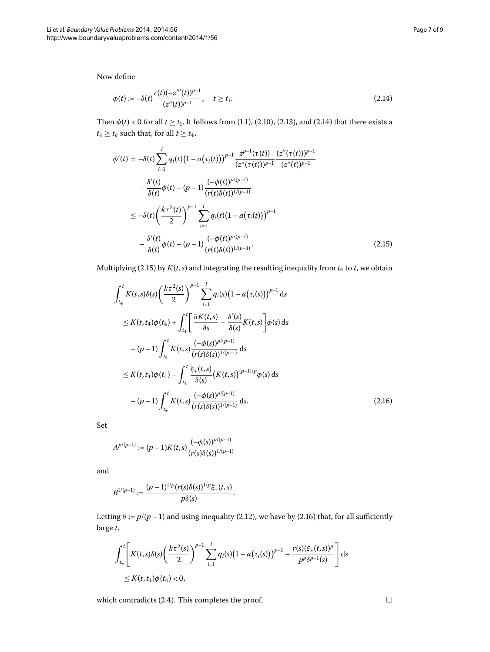<span id="page-6-1"></span>Now define

<span id="page-6-0"></span>
$$
\phi(t) := -\delta(t) \frac{r(t)(-z'''(t))^{p-1}}{(z''(t))^{p-1}}, \quad t \ge t_1.
$$
\n(2.14)

Then  $\phi(t) < 0$  for all  $t \ge t_1$ [.](#page-4-4) It follows from (1.1), (2.10), (2.13), and (2.14) that there exists a  $t_4 \geq t_k$  such that, for all  $t \geq t_4$ ,

$$
\phi'(t) = -\delta(t) \sum_{i=1}^{l} q_i(t) \left(1 - a(\tau_i(t))\right)^{p-1} \frac{z^{p-1}(\tau(t))}{(z''(\tau(t)))^{p-1}} \frac{(z''(\tau(t)))^{p-1}}{(z''(t))^{p-1}} \n+ \frac{\delta'(t)}{\delta(t)} \phi(t) - (p-1) \frac{(-\phi(t))^{p/(p-1)}}{(r(t)\delta(t))^{1/(p-1)}} \n\leq -\delta(t) \left(\frac{k\tau^2(t)}{2}\right)^{p-1} \sum_{i=1}^{l} q_i(t) \left(1 - a(\tau_i(t))\right)^{p-1} \n+ \frac{\delta'(t)}{\delta(t)} \phi(t) - (p-1) \frac{(-\phi(t))^{p/(p-1)}}{(r(t)\delta(t))^{1/(p-1)}}.
$$
\n(2.15)

Multiplying (2.15) by  $K(t, s)$  and integrating the resulting inequality from  $t_4$  to  $t$ , we obtain

<span id="page-6-2"></span>
$$
\int_{t_4}^{t} K(t,s)\delta(s) \left(\frac{k\tau^2(s)}{2}\right)^{p-1} \sum_{i=1}^{l} q_i(s) (1 - a(\tau_i(s)))^{p-1} ds
$$
\n
$$
\leq K(t,t_4)\phi(t_4) + \int_{t_4}^{t} \left[\frac{\partial K(t,s)}{\partial s} + \frac{\delta'(s)}{\delta(s)} K(t,s)\right] \phi(s) ds
$$
\n
$$
-(p-1) \int_{t_4}^{t} K(t,s) \frac{(-\phi(s))^{p/(p-1)}}{(r(s)\delta(s))^{1/(p-1)}} ds
$$
\n
$$
\leq K(t,t_4)\phi(t_4) - \int_{t_4}^{t} \frac{\xi_+(t,s)}{\delta(s)} \left(K(t,s)\right)^{(p-1)/p} \phi(s) ds
$$
\n
$$
-(p-1) \int_{t_4}^{t} K(t,s) \frac{(-\phi(s))^{p/(p-1)}}{(r(s)\delta(s))^{1/(p-1)}} ds.
$$
\n(2.16)

Set

$$
A^{p/(p-1)}:=(p-1)K(t,s)\frac{(-\phi(s))^{p/(p-1)}}{(r(s)\delta(s))^{1/(p-1)}}
$$

and

$$
B^{1/(p-1)} := \frac{(p-1)^{1/p}(r(s)\delta(s))^{1/p}\xi_+(t,s)}{p\delta(s)}.
$$

Letting  $\theta := p/(p-1)$  and using inequality (2.12), we have by (2.16) that, for all sufficiently large *t*,

$$
\int_{t_4}^{t} \left[ K(t,s)\delta(s) \left( \frac{k\tau^2(s)}{2} \right)^{p-1} \sum_{i=1}^{l} q_i(s) \left( 1 - a(\tau_i(s)) \right)^{p-1} - \frac{r(s)(\xi_+(t,s))^p}{p^p \delta^{p-1}(s)} \right] ds
$$
  
\n
$$
\leq K(t,t_4) \phi(t_4) < 0,
$$

which contradicts (2[.](#page-2-4)4). This completes the proof.  $\Box$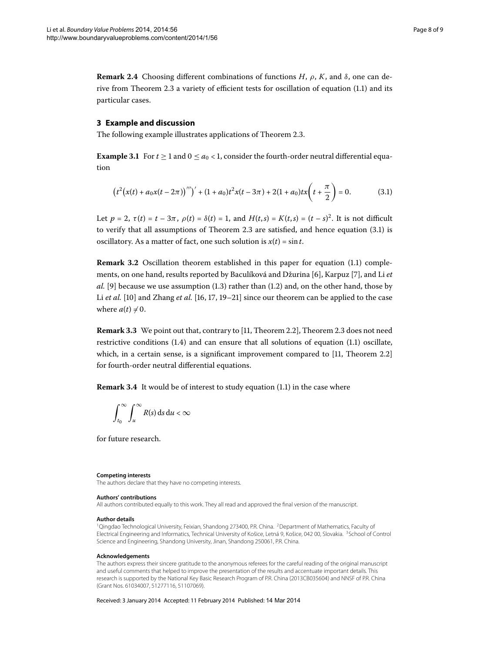**Remark 2.4** Choosing different combinations of functions *H*,  $ρ$ , *K*, and  $δ$ , one can de-rive from Theorem 2[.](#page-0-1)3 a variety of efficient tests for oscillation of equation  $(1.1)$  and its particular cases.

## **3 Example and discussion**

The following example illustrates applications of Theorem 2.3.

**Example 3.1** For  $t \ge 1$  and  $0 \le a_0 < 1$ , consider the fourth-order neutral differential equation

<span id="page-7-3"></span>
$$
(t2(x(t) + a0x(t - 2\pi))''')' + (1 + a0)t2x(t - 3\pi) + 2(1 + a0)tx\left(t + \frac{\pi}{2}\right) = 0.
$$
 (3.1)

Let  $p = 2$ ,  $\tau(t) = t - 3\pi$ ,  $\rho(t) = \delta(t) = 1$ , and  $H(t,s) = K(t,s) = (t-s)^2$ . It is not difficult to verify that all assumptions of Theorem 2[.](#page-7-3)3 are satisfied, and hence equation  $(3.1)$  is oscillatory. As a matter of fact, one such solution is  $x(t) = \sin t$ .

**Remark 3.2** Oscillation theorem established in this paper for equation (1.1) comple-ments, on one hand, results reported by Baculíková and Džurina [\[](#page-8-8)6], Karpuz [7], and Li *et*  $al.$  [\[](#page-8-9)9] because we use assumption  $(1.3)$  rather than  $(1.2)$  and, on the other hand, those by Li *et al.* [10[\]](#page-8-3) and Zhang *et al.* [16[,](#page-8-12) 17, 19[–](#page-8-14)21] since our theorem can be applied to the case where  $a(t) \neq 0$ .

**Remark 3[.](#page-2-5)3** We point out that, contrary to [\[](#page-8-15)11, Theorem 2.2], Theorem 2.3 does not need restrictive conditions  $(1.4)$  $(1.4)$  $(1.4)$  and can ensure that all solutions of equation  $(1.1)$  oscillate, which, in a certain sense, is a significant improvement compared to  $[11,$  Theorem 2.2 $]$ for fourth-order neutral differential equations.

**Remark 3[.](#page-0-1)4** It would be of interest to study equation (1.1) in the case where

<span id="page-7-2"></span><span id="page-7-1"></span>
$$
\int_{t_0}^{\infty} \int_u^{\infty} R(s) \, \mathrm{d} s \, \mathrm{d} u < \infty
$$

<span id="page-7-0"></span>for future research.

#### **Competing interests**

The authors declare that they have no competing interests.

#### **Authors' contributions**

All authors contributed equally to this work. They all read and approved the final version of the manuscript.

#### **Author details**

<sup>1</sup>Qingdao Technological University, Feixian, Shandong 273400, P.R. China. <sup>2</sup>Department of Mathematics, Faculty of Electrical Engineering and Informatics, Technical University of Košice, Letná 9, Košice, 042 00, Slovakia. <sup>3</sup>School of Control Science and Engineering, Shandong University, Jinan, Shandong 250061, P.R. China.

#### **Acknowledgements**

The authors express their sincere gratitude to the anonymous referees for the careful reading of the original manuscript and useful comments that helped to improve the presentation of the results and accentuate important details. This research is supported by the National Key Basic Research Program of P.R. China (2013CB035604) and NNSF of P.R. China (Grant Nos. 61034007, 51277116, 51107069).

Received: 3 January 2014 Accepted: 11 February 2014 Published: 14 Mar 2014